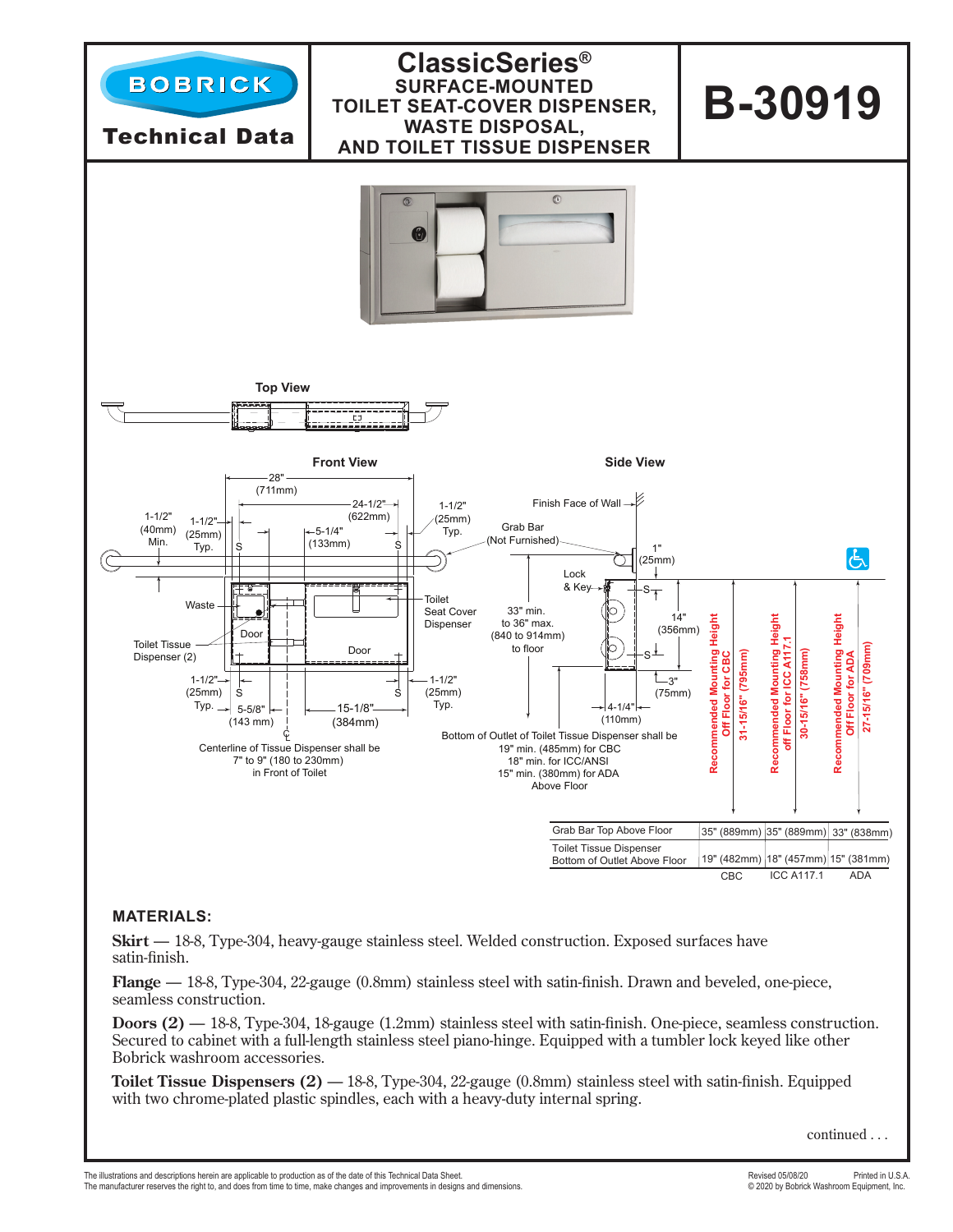

## **MATERIALS:**

**Skirt** — 18-8, Type-304, heavy-gauge stainless steel. Welded construction. Exposed surfaces have satin-finish.

**Flange** — 18-8, Type-304, 22-gauge (0.8mm) stainless steel with satin-finish. Drawn and beveled, one-piece, seamless construction.

**Doors (2)** — 18-8, Type-304, 18-gauge (1.2mm) stainless steel with satin-finish. One-piece, seamless construction. Secured to cabinet with a full-length stainless steel piano-hinge. Equipped with a tumbler lock keyed like other Bobrick washroom accessories.

**Toilet Tissue Dispensers (2)** — 18-8, Type-304, 22-gauge (0.8mm) stainless steel with satin-finish. Equipped with two chrome-plated plastic spindles, each with a heavy-duty internal spring.

continued . . .